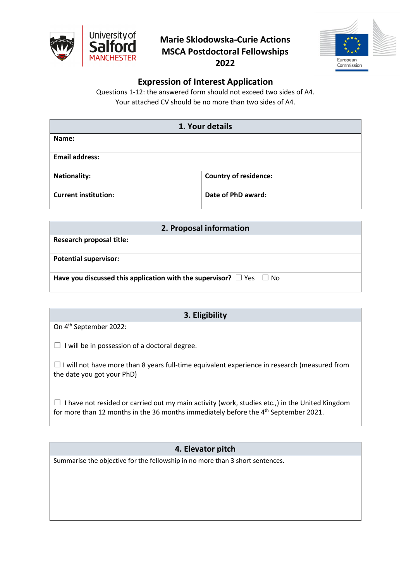

## **Marie Sklodowska-Curie Actions MSCA Postdoctoral Fellowships 2022**



## **Expression of Interest Application**

Questions 1-12: the answered form should not exceed two sides of A4. Your attached CV should be no more than two sides of A4.

|                             | 1. Your details              |  |
|-----------------------------|------------------------------|--|
| Name:                       |                              |  |
| <b>Email address:</b>       |                              |  |
| <b>Nationality:</b>         | <b>Country of residence:</b> |  |
| <b>Current institution:</b> | Date of PhD award:           |  |

| 2. Proposal information                                                       |
|-------------------------------------------------------------------------------|
| <b>Research proposal title:</b>                                               |
| <b>Potential supervisor:</b>                                                  |
| Have you discussed this application with the supervisor? $\Box$ Yes $\Box$ No |

| 3. Eligibility                                                                                                                    |  |
|-----------------------------------------------------------------------------------------------------------------------------------|--|
| On 4 <sup>th</sup> September 2022:                                                                                                |  |
| I will be in possession of a doctoral degree.                                                                                     |  |
| $\Box$ I will not have more than 8 years full-time equivalent experience in research (measured from<br>the date you got your PhD) |  |

 $\Box$  I have not resided or carried out my main activity (work, studies etc.,) in the United Kingdom for more than 12 months in the 36 months immediately before the 4<sup>th</sup> September 2021.

**4. Elevator pitch**

Summarise the objective for the fellowship in no more than 3 short sentences.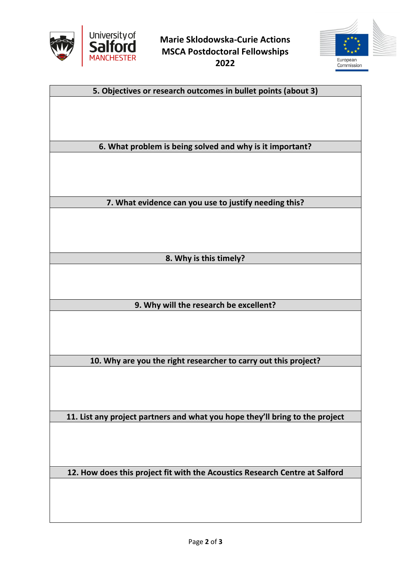

**Marie Sklodowska-Curie Actions MSCA Postdoctoral Fellowships 2022**



**5. Objectives or research outcomes in bullet points (about 3)**

**6. What problem is being solved and why is it important?**

**7. What evidence can you use to justify needing this?**

**8. Why is this timely?**

**9. Why will the research be excellent?**

**10. Why are you the right researcher to carry out this project?**

**11. List any project partners and what you hope they'll bring to the project**

**12. How does this project fit with the Acoustics Research Centre at Salford**